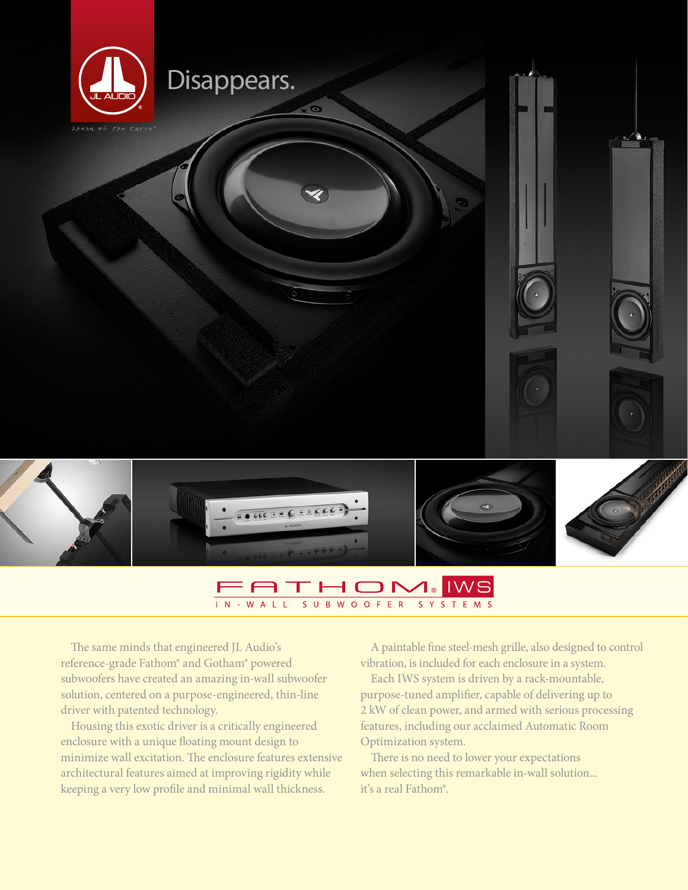

## $\Box$   $\Box$ **IWS**  $\overline{I}$  N  $-W A$  $\mathbf{R}$  $\overline{M}$  $\Omega$  $\Omega$ F E R  $\mathbf{S}$

The same minds that engineered JL Audio's reference-grade Fathom® and Gotham® powered subwoofers have created an amazing in-wall subwoofer solution, centered on a purpose-engineered, thin-line driver with patented technology.

Housing this exotic driver is a critically engineered enclosure with a unique floating mount design to minimize wall excitation. The enclosure features extensive architectural features aimed at improving rigidity while keeping a very low profile and minimal wall thickness.

A paintable fine steel-mesh grille, also designed to control vibration, is included for each enclosure in a system.

Each IWS system is driven by a rack-mountable, purpose-tuned amplifier, capable of delivering up to 2 kW of clean power, and armed with serious processing features, including our acclaimed Automatic Room Optimization system.

There is no need to lower your expectations when selecting this remarkable in-wall solution... it's a real Fathom®.